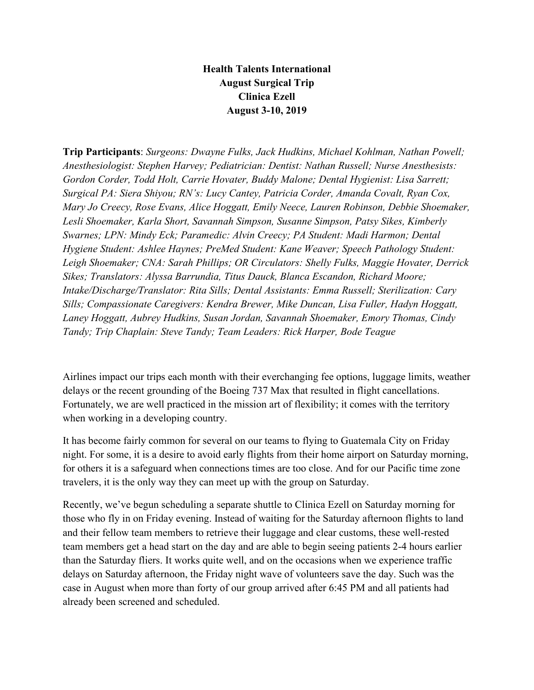## **Health Talents International August Surgical Trip Clinica Ezell August 3-10, 2019**

**Trip Participants**: *Surgeons: Dwayne Fulks, Jack Hudkins, Michael Kohlman, Nathan Powell; Anesthesiologist: Stephen Harvey; Pediatrician: Dentist: Nathan Russell; Nurse Anesthesists: Gordon Corder, Todd Holt, Carrie Hovater, Buddy Malone; Dental Hygienist: Lisa Sarrett; Surgical PA: Siera Shiyou; RN's: Lucy Cantey, Patricia Corder, Amanda Covalt, Ryan Cox, Mary Jo Creecy, Rose Evans, Alice Hoggatt, Emily Neece, Lauren Robinson, Debbie Shoemaker, Lesli Shoemaker, Karla Short, Savannah Simpson, Susanne Simpson, Patsy Sikes, Kimberly Swarnes; LPN: Mindy Eck; Paramedic: Alvin Creecy; PA Student: Madi Harmon; Dental Hygiene Student: Ashlee Haynes; PreMed Student: Kane Weaver; Speech Pathology Student: Leigh Shoemaker; CNA: Sarah Phillips; OR Circulators: Shelly Fulks, Maggie Hovater, Derrick Sikes; Translators: Alyssa Barrundia, Titus Dauck, Blanca Escandon, Richard Moore; Intake/Discharge/Translator: Rita Sills; Dental Assistants: Emma Russell; Sterilization: Cary Sills; Compassionate Caregivers: Kendra Brewer, Mike Duncan, Lisa Fuller, Hadyn Hoggatt, Laney Hoggatt, Aubrey Hudkins, Susan Jordan, Savannah Shoemaker, Emory Thomas, Cindy Tandy; Trip Chaplain: Steve Tandy; Team Leaders: Rick Harper, Bode Teague*

Airlines impact our trips each month with their everchanging fee options, luggage limits, weather delays or the recent grounding of the Boeing 737 Max that resulted in flight cancellations. Fortunately, we are well practiced in the mission art of flexibility; it comes with the territory when working in a developing country.

It has become fairly common for several on our teams to flying to Guatemala City on Friday night. For some, it is a desire to avoid early flights from their home airport on Saturday morning, for others it is a safeguard when connections times are too close. And for our Pacific time zone travelers, it is the only way they can meet up with the group on Saturday.

Recently, we've begun scheduling a separate shuttle to Clinica Ezell on Saturday morning for those who fly in on Friday evening. Instead of waiting for the Saturday afternoon flights to land and their fellow team members to retrieve their luggage and clear customs, these well-rested team members get a head start on the day and are able to begin seeing patients 2-4 hours earlier than the Saturday fliers. It works quite well, and on the occasions when we experience traffic delays on Saturday afternoon, the Friday night wave of volunteers save the day. Such was the case in August when more than forty of our group arrived after 6:45 PM and all patients had already been screened and scheduled.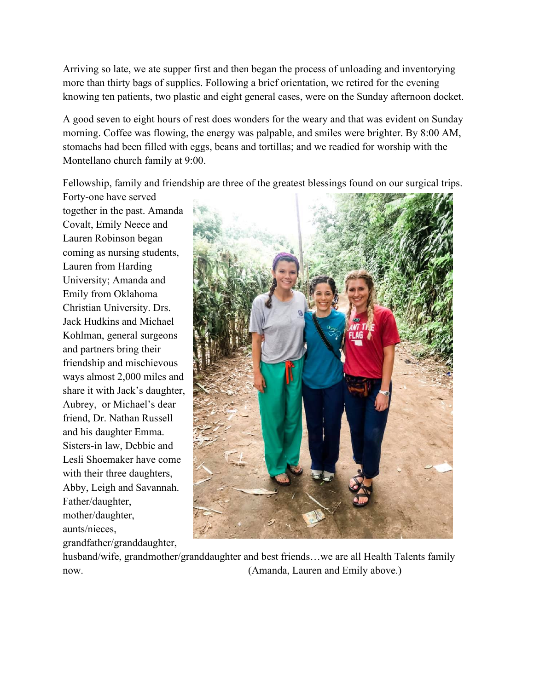Arriving so late, we ate supper first and then began the process of unloading and inventorying more than thirty bags of supplies. Following a brief orientation, we retired for the evening knowing ten patients, two plastic and eight general cases, were on the Sunday afternoon docket.

A good seven to eight hours of rest does wonders for the weary and that was evident on Sunday morning. Coffee was flowing, the energy was palpable, and smiles were brighter. By 8:00 AM, stomachs had been filled with eggs, beans and tortillas; and we readied for worship with the Montellano church family at 9:00.

Fellowship, family and friendship are three of the greatest blessings found on our surgical trips.

Forty-one have served together in the past. Amanda Covalt, Emily Neece and Lauren Robinson began coming as nursing students, Lauren from Harding University; Amanda and Emily from Oklahoma Christian University. Drs. Jack Hudkins and Michael Kohlman, general surgeons and partners bring their friendship and mischievous ways almost 2,000 miles and share it with Jack's daughter, Aubrey, or Michael's dear friend, Dr. Nathan Russell and his daughter Emma. Sisters-in law, Debbie and Lesli Shoemaker have come with their three daughters, Abby, Leigh and Savannah. Father/daughter, mother/daughter, aunts/nieces, grandfather/granddaughter,



husband/wife, grandmother/granddaughter and best friends...we are all Health Talents family now. (Amanda, Lauren and Emily above.)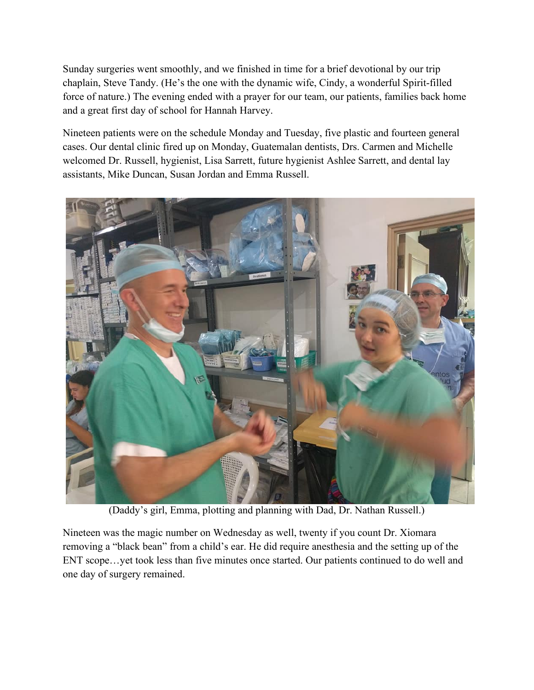Sunday surgeries went smoothly, and we finished in time for a brief devotional by our trip chaplain, Steve Tandy. (He's the one with the dynamic wife, Cindy, a wonderful Spirit-filled force of nature.) The evening ended with a prayer for our team, our patients, families back home and a great first day of school for Hannah Harvey.

Nineteen patients were on the schedule Monday and Tuesday, five plastic and fourteen general cases. Our dental clinic fired up on Monday, Guatemalan dentists, Drs. Carmen and Michelle welcomed Dr. Russell, hygienist, Lisa Sarrett, future hygienist Ashlee Sarrett, and dental lay assistants, Mike Duncan, Susan Jordan and Emma Russell.



(Daddy's girl, Emma, plotting and planning with Dad, Dr. Nathan Russell.)

Nineteen was the magic number on Wednesday as well, twenty if you count Dr. Xiomara removing a "black bean" from a child's ear. He did require anesthesia and the setting up of the ENT scope…yet took less than five minutes once started. Our patients continued to do well and one day of surgery remained.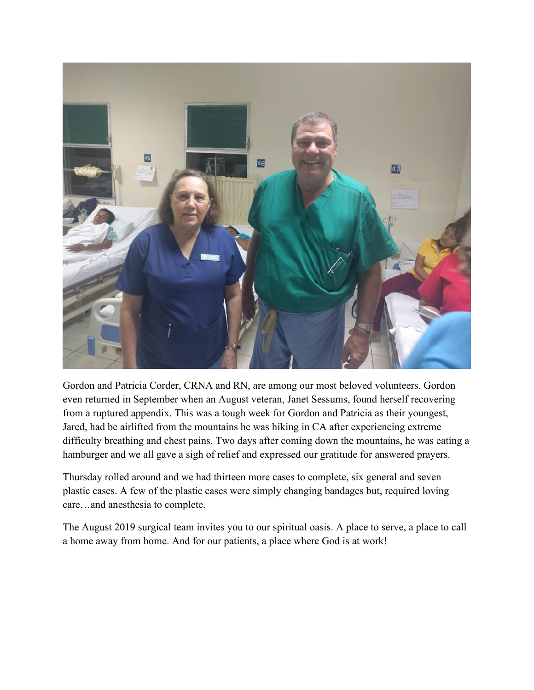

Gordon and Patricia Corder, CRNA and RN, are among our most beloved volunteers. Gordon even returned in September when an August veteran, Janet Sessums, found herself recovering from a ruptured appendix. This was a tough week for Gordon and Patricia as their youngest, Jared, had be airlifted from the mountains he was hiking in CA after experiencing extreme difficulty breathing and chest pains. Two days after coming down the mountains, he was eating a hamburger and we all gave a sigh of relief and expressed our gratitude for answered prayers.

Thursday rolled around and we had thirteen more cases to complete, six general and seven plastic cases. A few of the plastic cases were simply changing bandages but, required loving care…and anesthesia to complete.

The August 2019 surgical team invites you to our spiritual oasis. A place to serve, a place to call a home away from home. And for our patients, a place where God is at work!